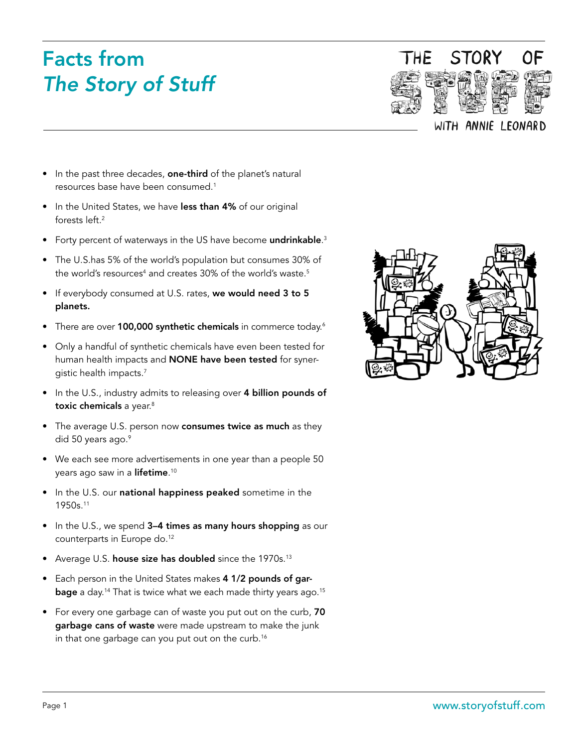## Facts from *The Story of Stuff*



- In the past three decades, one-third of the planet's natural resources base have been consumed.<sup>1</sup>
- In the United States, we have less than 4% of our original forests left.<sup>2</sup>
- Forty percent of waterways in the US have become **undrinkable**.<sup>3</sup>
- The U.S.has 5% of the world's population but consumes 30% of the world's resources<sup>4</sup> and creates 30% of the world's waste.<sup>5</sup>
- If everybody consumed at U.S. rates, we would need 3 to 5 planets.
- There are over 100,000 synthetic chemicals in commerce today.<sup>6</sup>
- Only a handful of synthetic chemicals have even been tested for human health impacts and NONE have been tested for synergistic health impacts.<sup>7</sup>
- In the U.S., industry admits to releasing over 4 billion pounds of toxic chemicals a year.<sup>8</sup>
- The average U.S. person now consumes twice as much as they did 50 years ago.<sup>9</sup>
- We each see more advertisements in one year than a people 50 years ago saw in a **lifetime**.<sup>10</sup>
- In the U.S. our national happiness peaked sometime in the 1950s.<sup>11</sup>
- In the U.S., we spend 3-4 times as many hours shopping as our counterparts in Europe do.<sup>12</sup>
- Average U.S. house size has doubled since the 1970s.<sup>13</sup>
- Each person in the United States makes 4 1/2 pounds of gar**bage** a day.<sup>14</sup> That is twice what we each made thirty years ago.<sup>15</sup>
- For every one garbage can of waste you put out on the curb, 70 garbage cans of waste were made upstream to make the junk in that one garbage can you put out on the curb.<sup>16</sup>

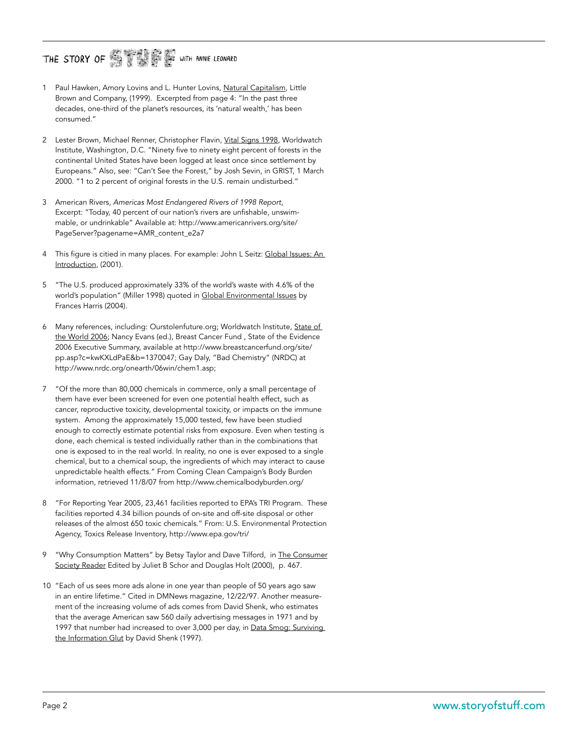## THE STORY OF STRING RESERVED WITH ANNIE LEONARD

- 1 Paul Hawken, Amory Lovins and L. Hunter Lovins, Natural Capitalism, Little Brown and Company, (1999). Excerpted from page 4: "In the past three decades, one-third of the planet's resources, its 'natural wealth,' has been consumed."
- 2 Lester Brown, Michael Renner, Christopher Flavin, Vital Signs 1998, Worldwatch Institute, Washington, D.C. "Ninety five to ninety eight percent of forests in the continental United States have been logged at least once since settlement by Europeans." Also, see: "Can't See the Forest," by Josh Sevin, in GRIST, 1 March 2000. "1 to 2 percent of original forests in the U.S. remain undisturbed."
- 3 American Rivers, *Americas Most Endangered Rivers of 1998 Report*, Excerpt: "Today, 40 percent of our nation's rivers are unfishable, unswimmable, or undrinkable" Available at: http://www.americanrivers.org/site/ PageServer?pagename=AMR\_content\_e2a7
- This figure is citied in many places. For example: John L Seitz: Global Issues: An Introduction, (2001).
- 5 "The U.S. produced approximately 33% of the world's waste with 4.6% of the world's population" (Miller 1998) quoted in Global Environmental Issues by Frances Harris (2004).
- 6 Many references, including: Ourstolenfuture.org; Worldwatch Institute, State of the World 2006; Nancy Evans (ed.), Breast Cancer Fund, State of the Evidence 2006 Executive Summary, available at http://www.breastcancerfund.org/site/ pp.asp?c=kwKXLdPaE&b=1370047; Gay Daly, "Bad Chemistry" (NRDC) at http://www.nrdc.org/onearth/06win/chem1.asp;
- "Of the more than 80,000 chemicals in commerce, only a small percentage of them have ever been screened for even one potential health effect, such as cancer, reproductive toxicity, developmental toxicity, or impacts on the immune system. Among the approximately 15,000 tested, few have been studied enough to correctly estimate potential risks from exposure. Even when testing is done, each chemical is tested individually rather than in the combinations that one is exposed to in the real world. In reality, no one is ever exposed to a single chemical, but to a chemical soup, the ingredients of which may interact to cause unpredictable health effects." From Coming Clean Campaign's Body Burden information, retrieved 11/8/07 from http://www.chemicalbodyburden.org/
- 8 "For Reporting Year 2005, 23,461 facilities reported to EPA's TRI Program. These facilities reported 4.34 billion pounds of on-site and off-site disposal or other releases of the almost 650 toxic chemicals." From: U.S. Environmental Protection Agency, Toxics Release Inventory, http://www.epa.gov/tri/
- 9 "Why Consumption Matters" by Betsy Taylor and Dave Tilford, in The Consumer Society Reader Edited by Juliet B Schor and Douglas Holt (2000), p. 467.
- 10 "Each of us sees more ads alone in one year than people of 50 years ago saw in an entire lifetime." Cited in DMNews magazine, 12/22/97. Another measurement of the increasing volume of ads comes from David Shenk, who estimates that the average American saw 560 daily advertising messages in 1971 and by 1997 that number had increased to over 3,000 per day, in Data Smog: Surviving the Information Glut by David Shenk (1997).